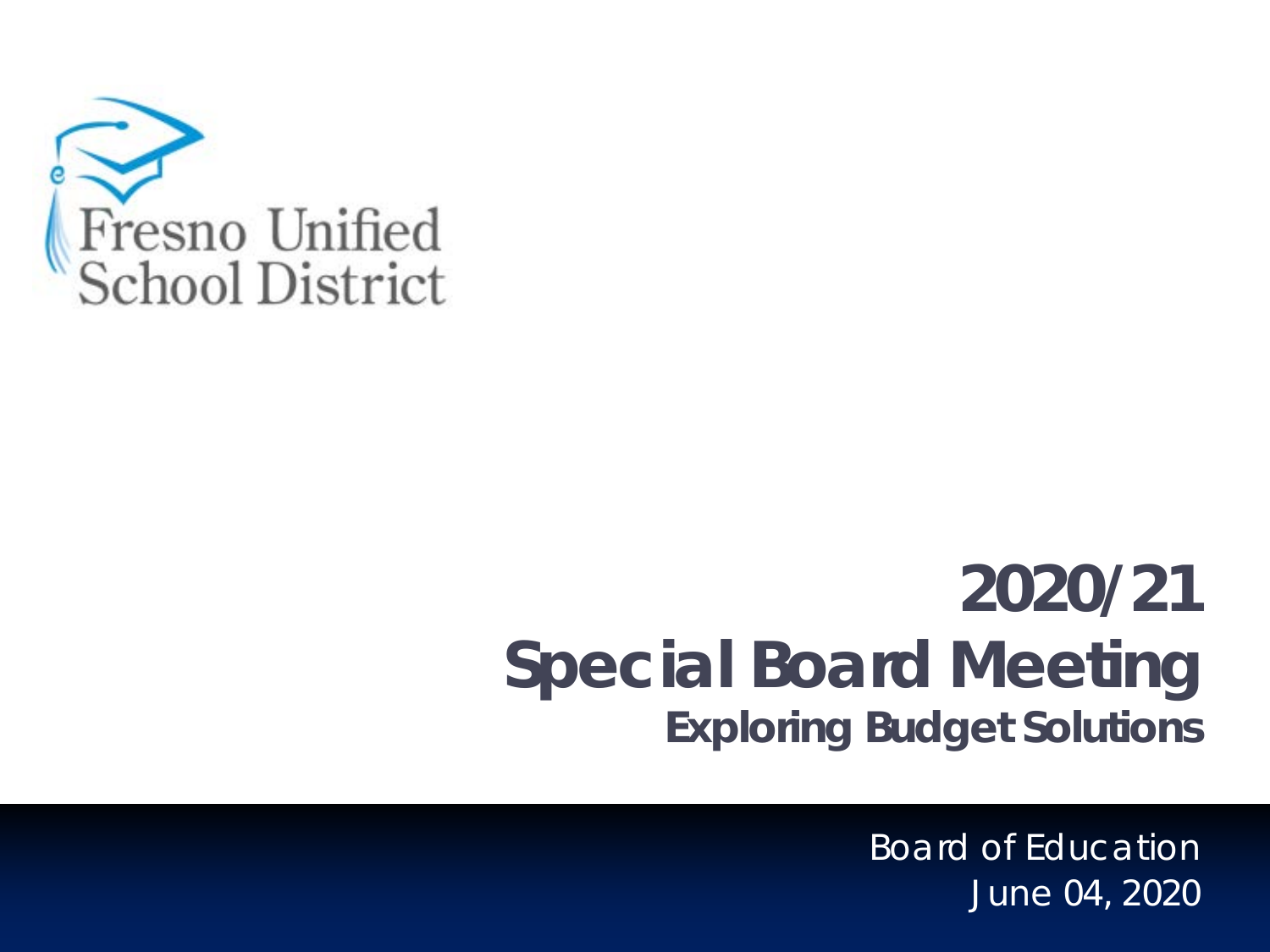

# **2020/21 Special Board Meeting Exploring Budget Solutions**

Board of Education June 04, 2020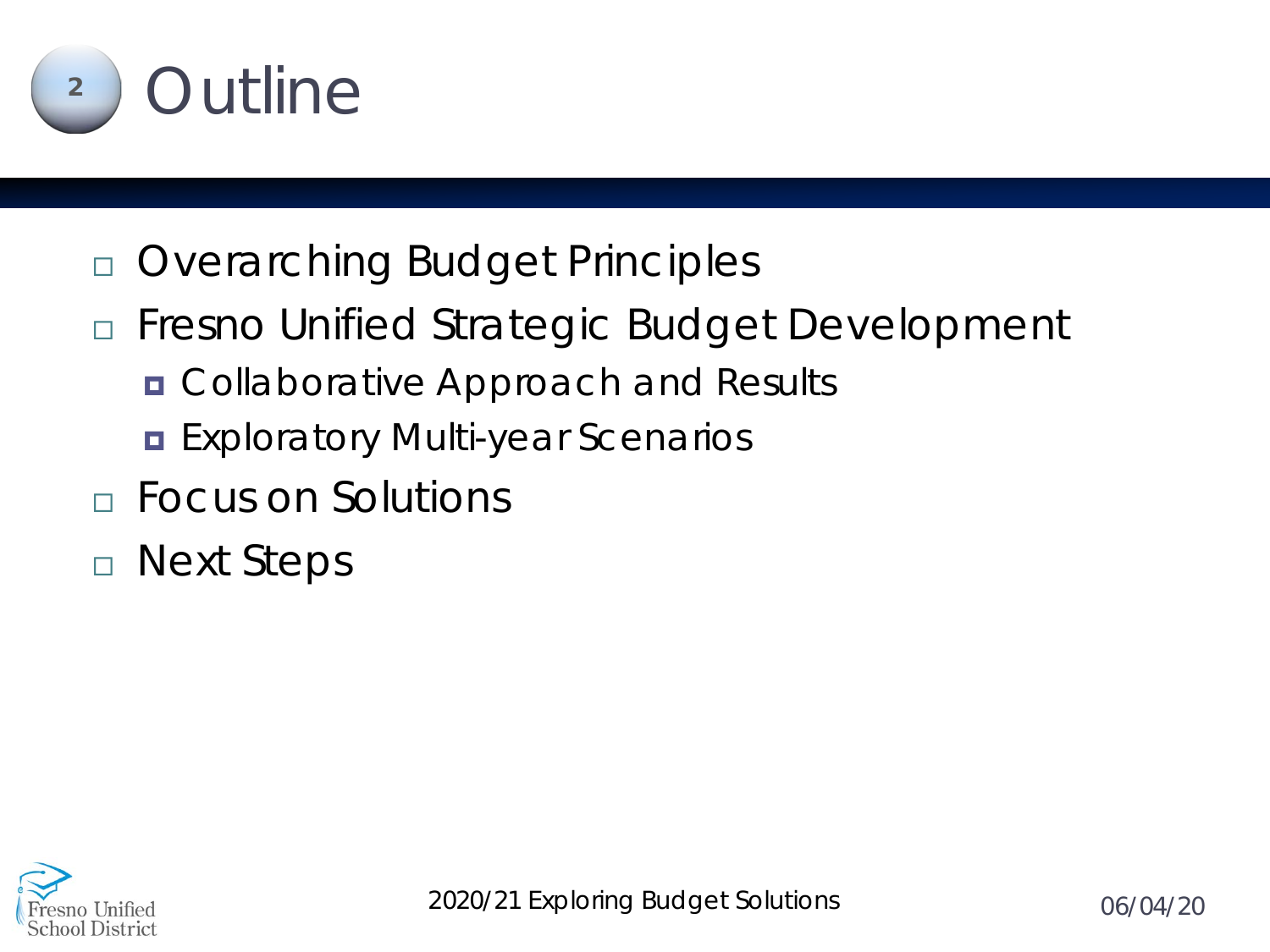

- Overarching Budget Principles
- □ Fresno Unified Strategic Budget Development
	- **n** Collaborative Approach and Results
	- **Exploratory Multi-year Scenarios**
- Focus on Solutions
- Next Steps

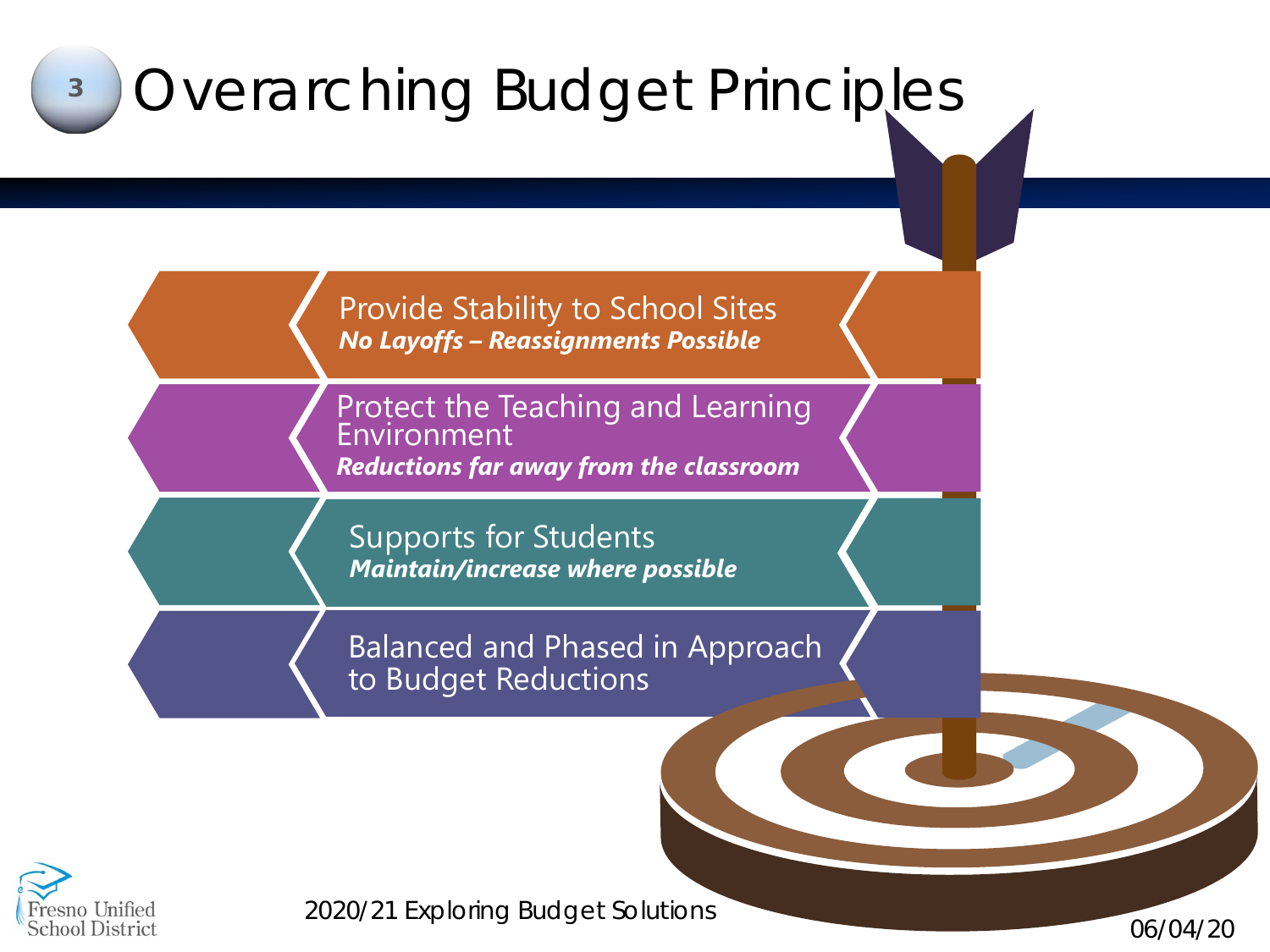

esno Unified **School District** 

*2020/21 Exploring Budget Solutions 06/04/20*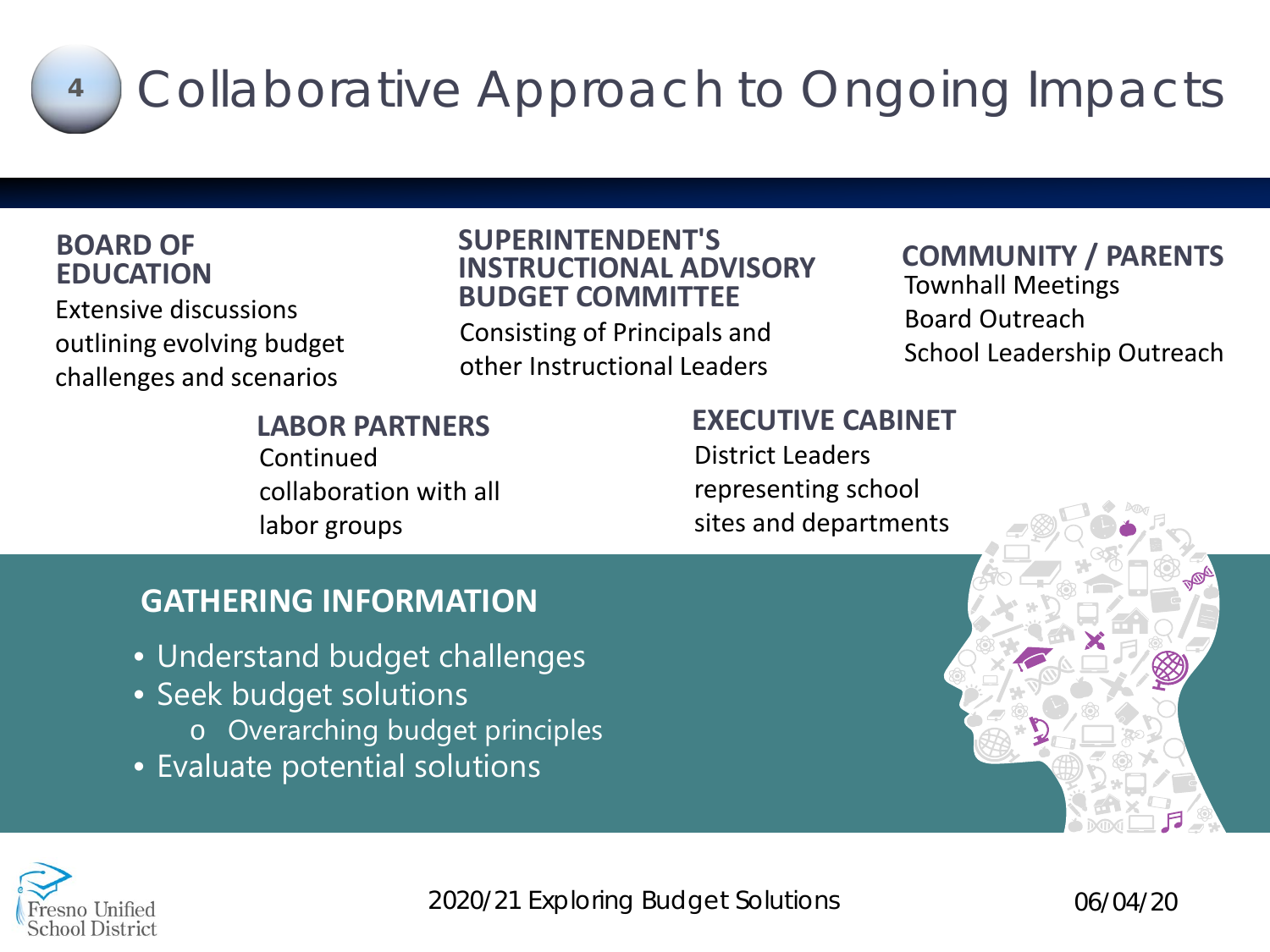

# Collaborative Approach to Ongoing Impacts **<sup>4</sup>**

### **BOARD OF EDUCATION**

Extensive discussions outlining evolving budget challenges and scenarios

#### **SUPERINTENDENT'S INSTRUCTIONAL ADVISORY BUDGET COMMITTEE**

Consisting of Principals and other Instructional Leaders

### **COMMUNITY / PARENTS** Townhall Meetings Board Outreach School Leadership Outreach

**LABOR PARTNERS** Continued collaboration with all labor groups

### **EXECUTIVE CABINET**

District Leaders representing school sites and departments

## **GATHERING INFORMATION**

- Understand budget challenges
- Seek budget solutions
	- o Overarching budget principles
- Evaluate potential solutions



*2020/21 Exploring Budget Solutions 06/04/20*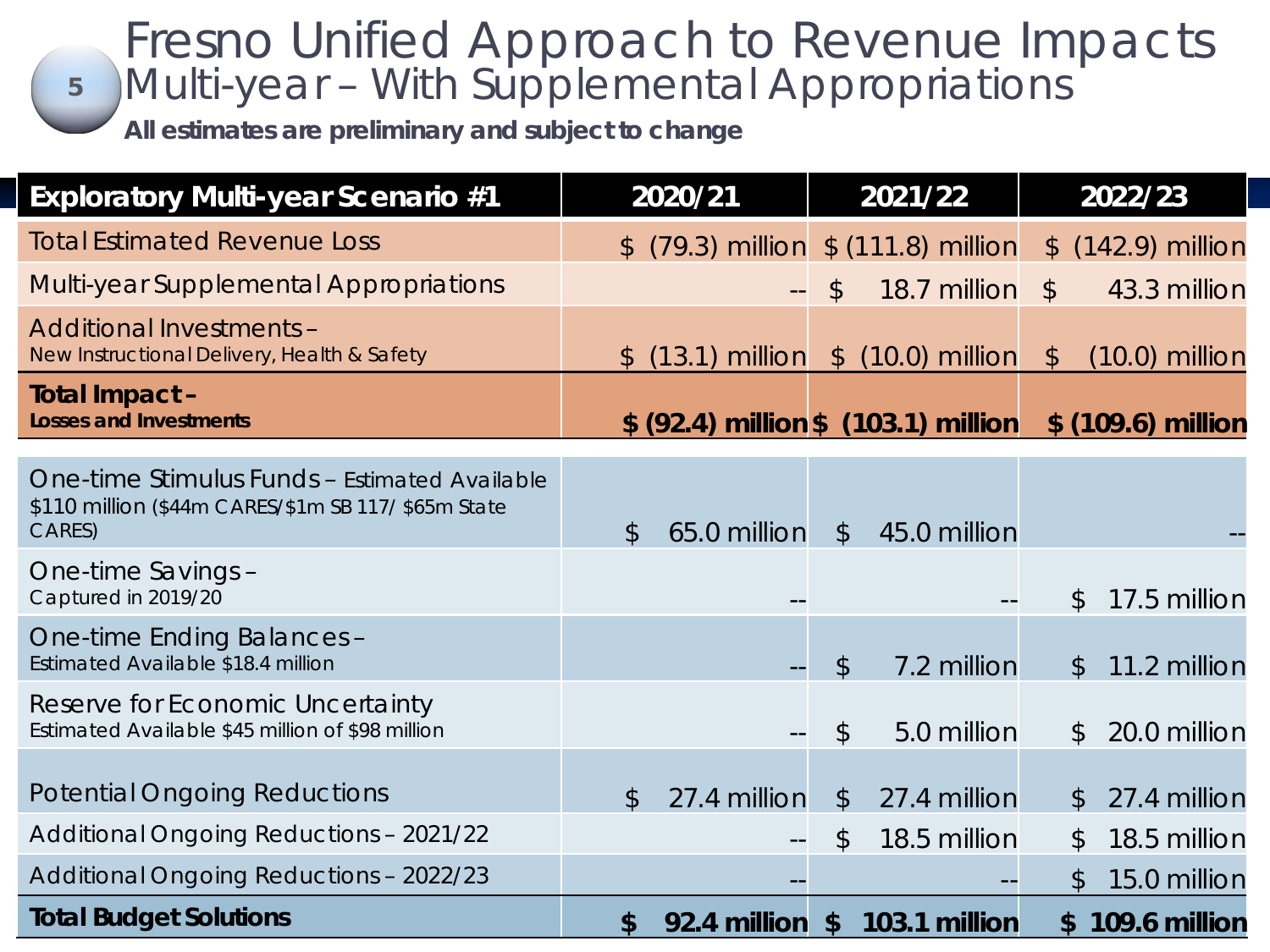### **5** Fresno Unified Approach to Revenue Impacts Multi-year – With Supplemental Appropriations

*All estimates are preliminary and subject to change* 

| <b>Exploratory Multi-year Scenario #1</b>                                                                      |               | 2020/21          |               | 2021/22                              |               | 2022/23            |
|----------------------------------------------------------------------------------------------------------------|---------------|------------------|---------------|--------------------------------------|---------------|--------------------|
| <b>Total Estimated Revenue Loss</b>                                                                            | $\mathbb{S}$  |                  |               | $(79.3)$ million $$ (111.8)$ million |               | \$ (142.9) million |
| Multi-year Supplemental Appropriations                                                                         |               |                  | $\mathcal{L}$ | 18.7 million                         | $\frac{1}{2}$ | 43.3 million       |
| <b>Additional Investments -</b><br>New Instructional Delivery, Health & Safety                                 | $\mathcal{L}$ | $(13.1)$ million |               | $$$ $(10.0)$ million                 | $\mathcal{L}$ | $(10.0)$ million   |
| Total Impact -<br><b>Losses and Investments</b>                                                                |               |                  |               | \$ (92.4) million \$ (103.1) million |               | \$ (109.6) million |
| One-time Stimulus Funds - Estimated Available<br>\$110 million (\$44m CARES/\$1m SB 117/ \$65m State<br>CARES) | $\mathcal{S}$ | 65.0 million     | $\frac{1}{2}$ | 45.0 million                         |               |                    |
| One-time Savings -<br>Captured in 2019/20                                                                      |               |                  |               |                                      | \$            | 17.5 million       |
| One-time Ending Balances -<br>Estimated Available \$18.4 million                                               |               |                  | $\mathcal{P}$ | 7.2 million                          | $\mathcal{L}$ | 11.2 million       |
| Reserve for Economic Uncertainty<br>Estimated Available \$45 million of \$98 million                           |               |                  | $\mathcal{S}$ | 5.0 million                          | $\mathcal{L}$ | 20.0 million       |
| <b>Potential Ongoing Reductions</b>                                                                            | $\mathcal{S}$ | 27.4 million     | $\sqrt[6]{}$  | 27.4 million                         | $\mathcal{L}$ | 27.4 million       |
| <b>Additional Ongoing Reductions - 2021/22</b>                                                                 |               |                  | \$            | 18.5 million                         | \$            | 18.5 million       |
| <b>Additional Ongoing Reductions - 2022/23</b>                                                                 |               |                  |               |                                      | $\mathcal{L}$ | 15.0 million       |
| <b>Total Budget Solutions</b>                                                                                  | \$            | 92.4 million     | \$            | 103.1 million                        |               | \$109.6 million    |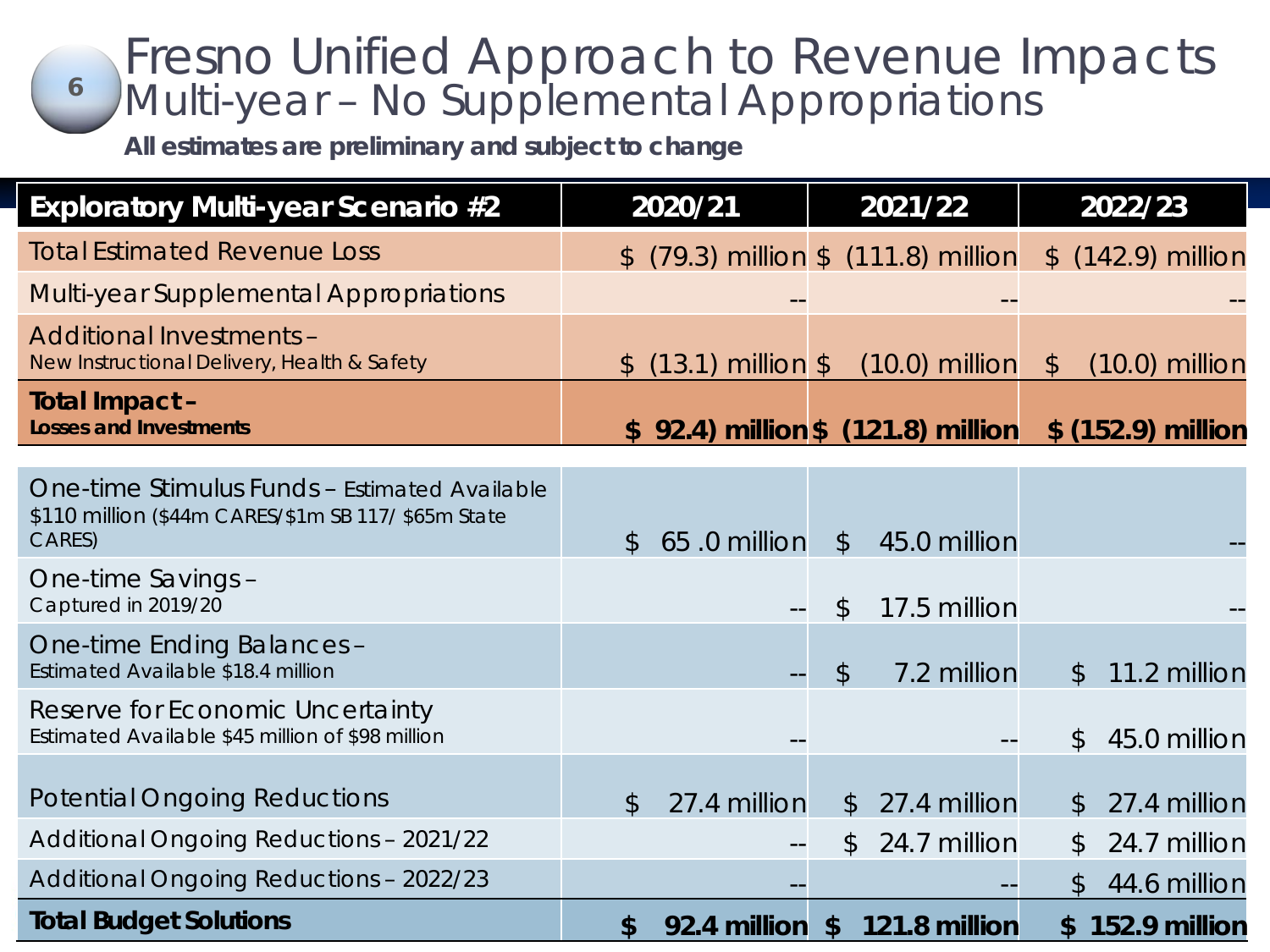### Fresno Unified Approach to Revenue Impacts Multi-year – No Supplemental Appropriations **6**

*All estimates are preliminary and subject to change* 

| <b>Exploratory Multi-year Scenario #2</b>                                                                      |                | 2020/21              |               | 2021/22                                |               | 2022/23                       |
|----------------------------------------------------------------------------------------------------------------|----------------|----------------------|---------------|----------------------------------------|---------------|-------------------------------|
| <b>Total Estimated Revenue Loss</b>                                                                            | $\mathbb{S}^-$ |                      |               | $(79.3)$ million $$$ $(111.8)$ million |               | \$ (142.9) million            |
| <b>Multi-year Supplemental Appropriations</b>                                                                  |                |                      |               |                                        |               |                               |
| <b>Additional Investments -</b><br>New Instructional Delivery, Health & Safety                                 |                | \$ (13.1) million \$ |               | $(10.0)$ million                       | $\mathcal{L}$ | $(10.0)$ million              |
| Total Impact -<br><b>Losses and Investments</b>                                                                |                |                      |               | \$ 92.4) million \$ (121.8) million    |               | \$ (152.9) million            |
| One-time Stimulus Funds - Estimated Available<br>\$110 million (\$44m CARES/\$1m SB 117/ \$65m State<br>CARES) | $\mathcal{S}$  | 65.0 million         | $\sqrt[6]{}$  | 45.0 million                           |               |                               |
| One-time Savings -<br>Captured in 2019/20                                                                      |                |                      | $\mathcal{L}$ | 17.5 million                           |               |                               |
| One-time Ending Balances -<br>Estimated Available \$18.4 million                                               |                |                      | $\mathcal{L}$ | 7.2 million                            |               | 11.2 million<br>$\mathcal{L}$ |
| Reserve for Economic Uncertainty<br>Estimated Available \$45 million of \$98 million                           |                |                      |               |                                        |               | 45.0 million<br>\$            |
| <b>Potential Ongoing Reductions</b>                                                                            | $\mathcal{L}$  | 27.4 million         | $\frac{1}{2}$ | 27.4 million                           |               | 27.4 million<br>$\mathcal{L}$ |
| <b>Additional Ongoing Reductions - 2021/22</b>                                                                 |                |                      | \$            | 24.7 million                           |               | 24.7 million<br>\$            |
| <b>Additional Ongoing Reductions - 2022/23</b>                                                                 |                |                      |               |                                        |               | 44.6 million<br>$\mathbb S$   |
| <b>Total Budget Solutions</b>                                                                                  | \$             | 92.4 million         |               | \$121.8 million                        |               | \$152.9 million               |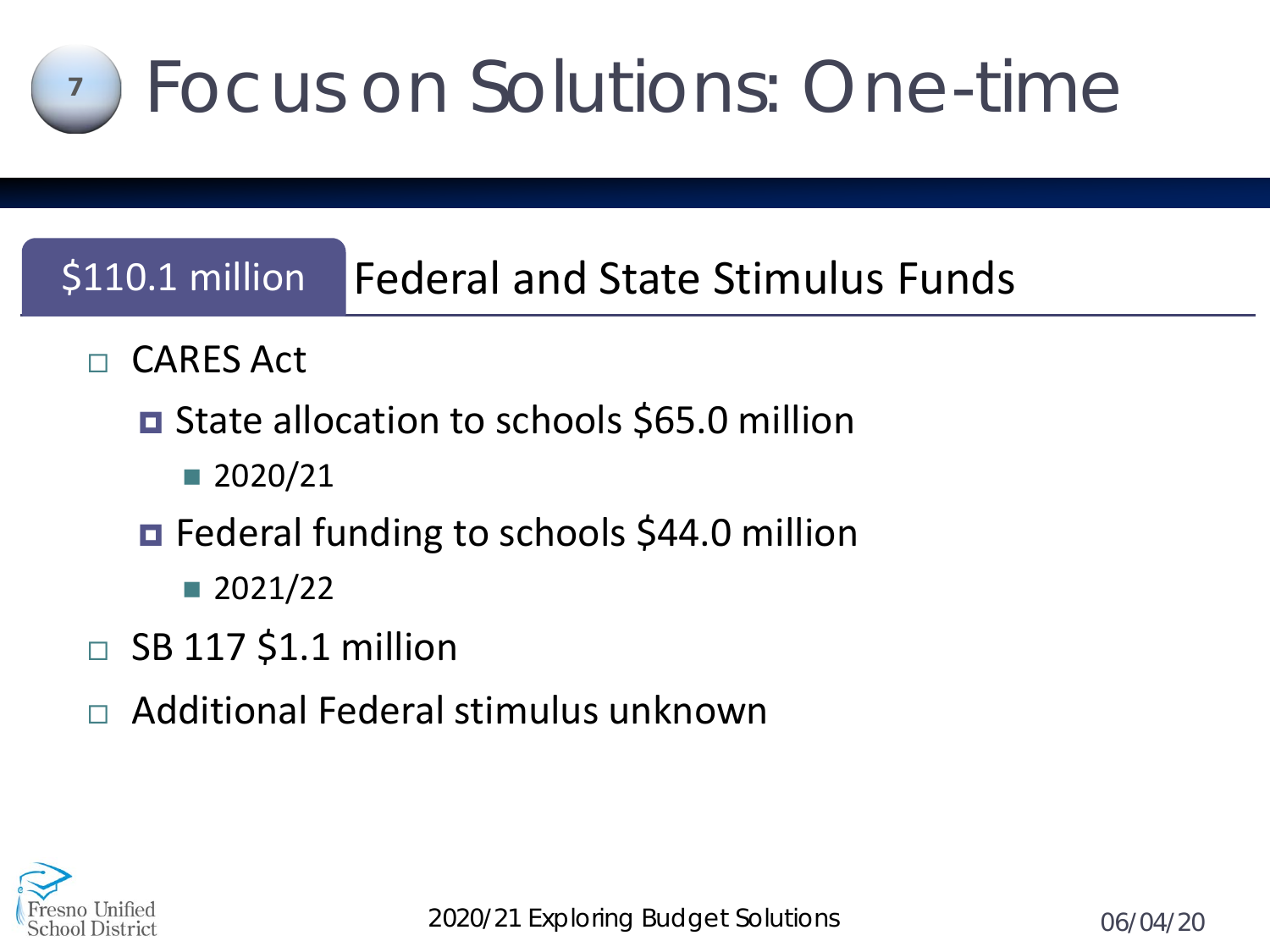

# \$110.1 million Federal and State Stimulus Funds

- □ CARES Act
	- **□** State allocation to schools \$65.0 million
		- 2020/21
	- Federal funding to schools \$44.0 million
		- $\blacksquare$  2021/22
- $\Box$  SB 117 \$1.1 million
- Additional Federal stimulus unknown

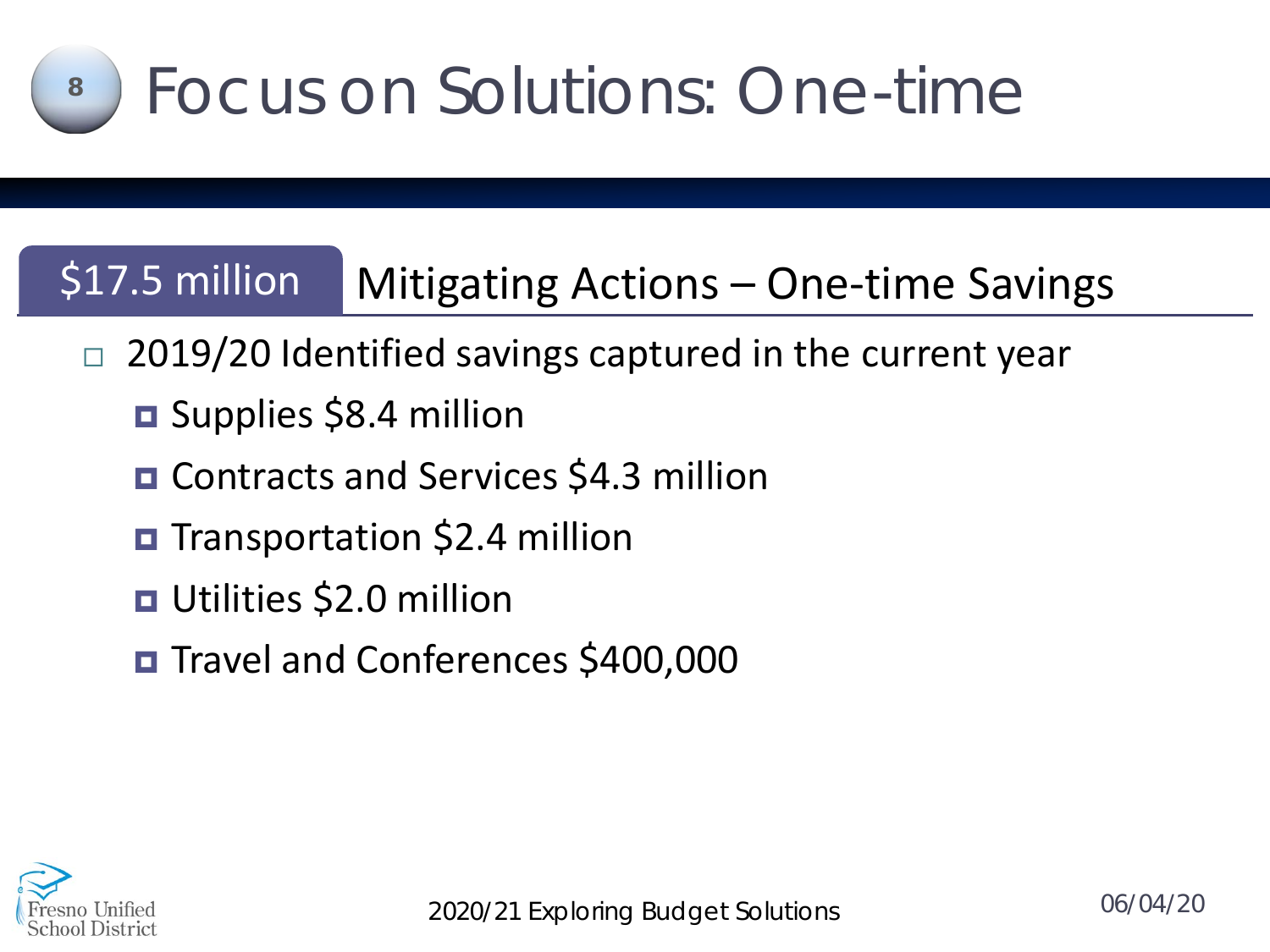

# \$17.5 million | Mitigating Actions – One-time Savings

- 2019/20 Identified savings captured in the current year
	- **D** Supplies \$8.4 million
	- **□ Contracts and Services \$4.3 million**
	- **D** Transportation \$2.4 million
	- **D** Utilities \$2.0 million
	- Travel and Conferences \$400,000

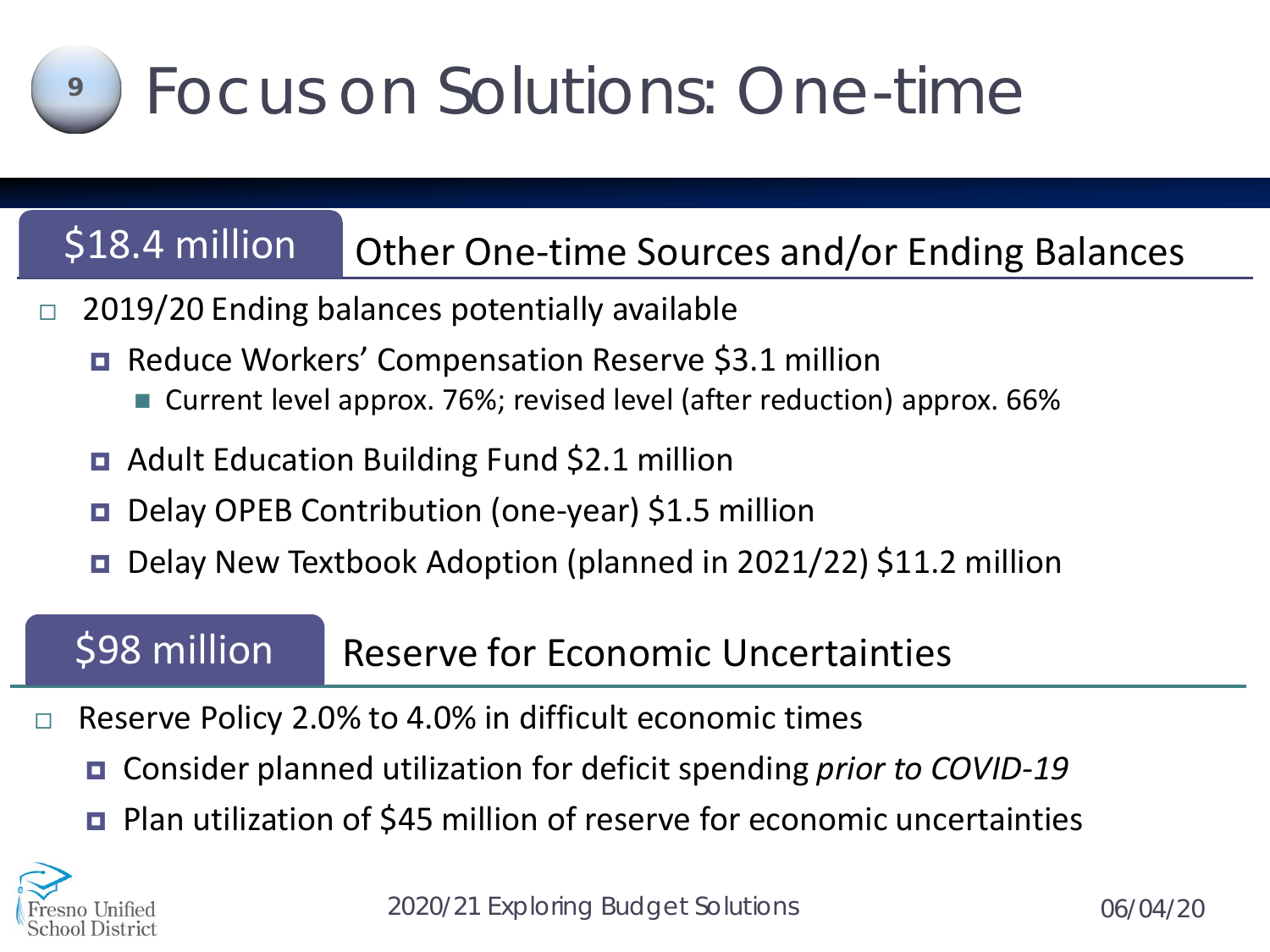# Focus on Solutions: One-time

# \$18.4 million Other One-time Sources and/or Ending Balances

- $\Box$  2019/20 Ending balances potentially available
	- Reduce Workers' Compensation Reserve \$3.1 million
		- Current level approx. 76%; revised level (after reduction) approx. 66%
	- Adult Education Building Fund \$2.1 million
	- Delay OPEB Contribution (one-year) \$1.5 million
	- Delay New Textbook Adoption (planned in 2021/22) \$11.2 million

# \$98 million Reserve for Economic Uncertainties

- $\Box$  Reserve Policy 2.0% to 4.0% in difficult economic times
	- Consider planned utilization for deficit spending *prior to COVID-19*
	- Plan utilization of \$45 million of reserve for economic uncertainties



**9**

*2020/21 Exploring Budget Solutions*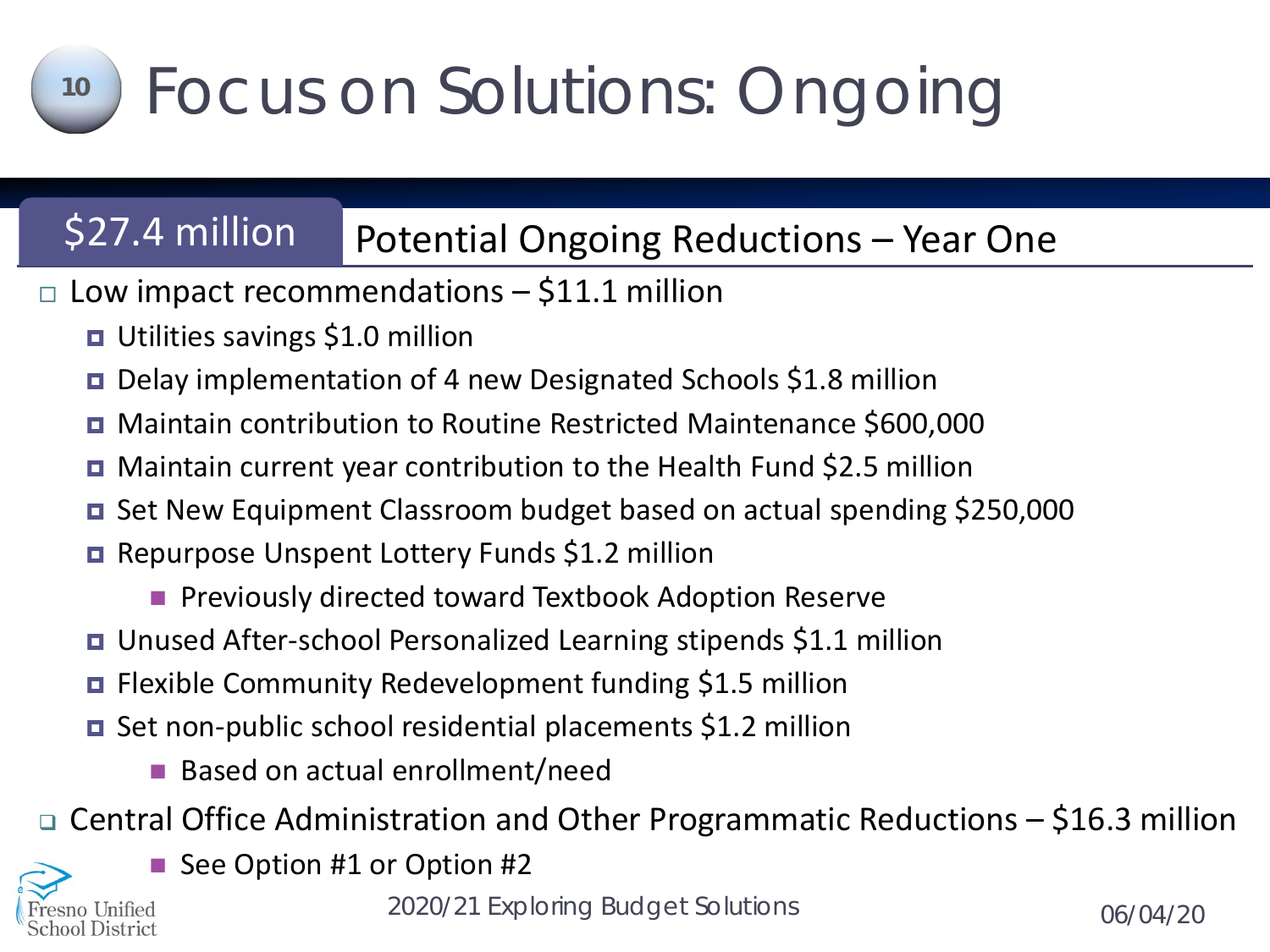# Focus on Solutions: Ongoing

# \$27.4 million Potential Ongoing Reductions - Year One

- $\Box$  Low impact recommendations \$11.1 million
	- **u** Utilities savings \$1.0 million
	- Delay implementation of 4 new Designated Schools \$1.8 million
	- Maintain contribution to Routine Restricted Maintenance \$600,000
	- Maintain current year contribution to the Health Fund \$2.5 million
	- Set New Equipment Classroom budget based on actual spending \$250,000
	- Repurpose Unspent Lottery Funds \$1.2 million
		- **Previously directed toward Textbook Adoption Reserve**
	- Unused After-school Personalized Learning stipends \$1.1 million
	- Flexible Community Redevelopment funding \$1.5 million
	- Set non-public school residential placements \$1.2 million
		- Based on actual enrollment/need
- Central Office Administration and Other Programmatic Reductions \$16.3 million



**10**

■ See Option #1 or Option #2

*2020/21 Exploring Budget Solutions*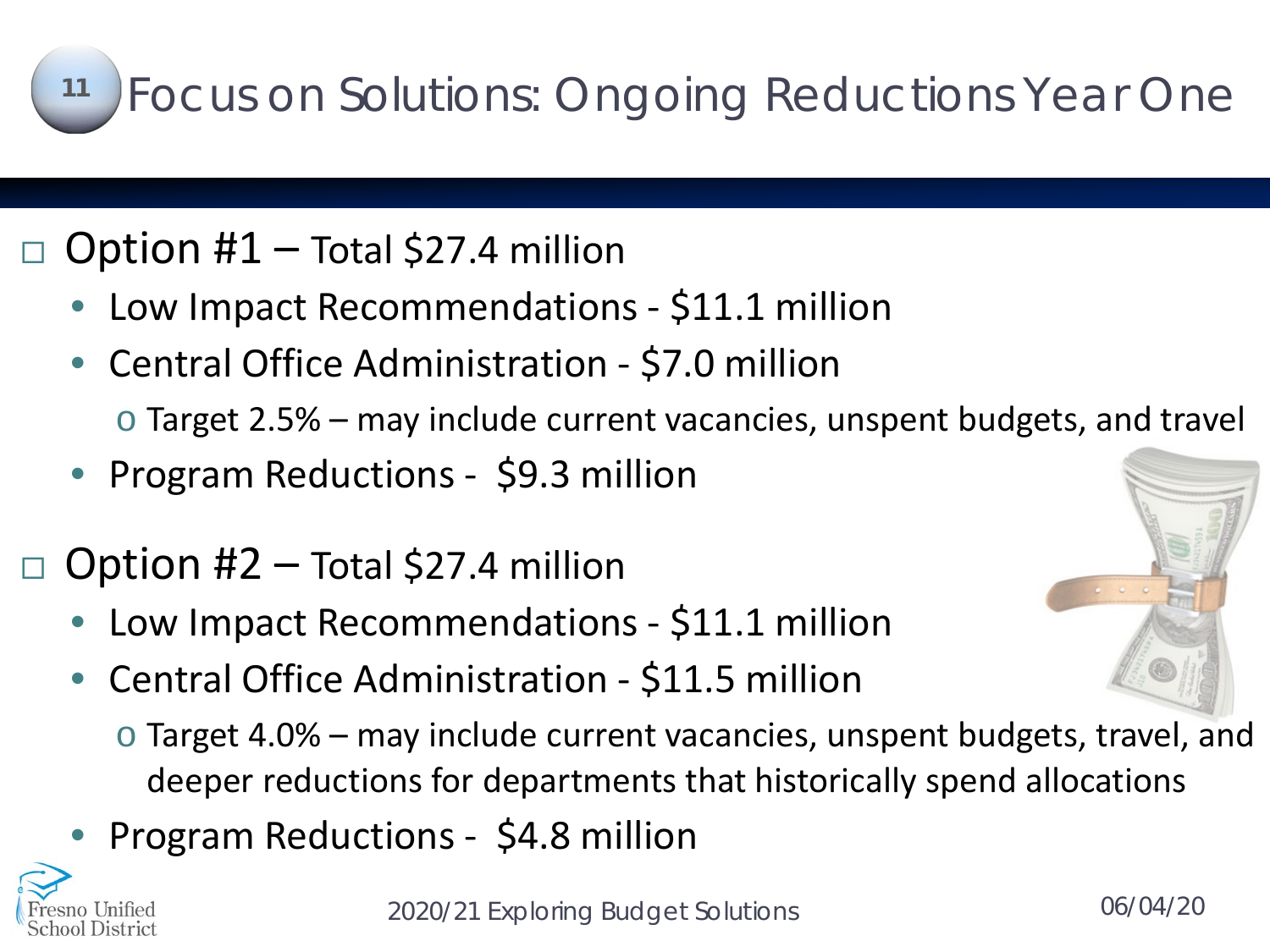### Focus on Solutions: Ongoing Reductions Year One **11**

# Option #1 – Total \$27.4 million

- Low Impact Recommendations \$11.1 million
- Central Office Administration \$7.0 million
	- o Target 2.5% may include current vacancies, unspent budgets, and travel
- Program Reductions \$9.3 million

# Option #2 – Total \$27.4 million

- Low Impact Recommendations \$11.1 million
- Central Office Administration \$11.5 million
	- o Target 4.0% may include current vacancies, unspent budgets, travel, and deeper reductions for departments that historically spend allocations
- Program Reductions \$4.8 million

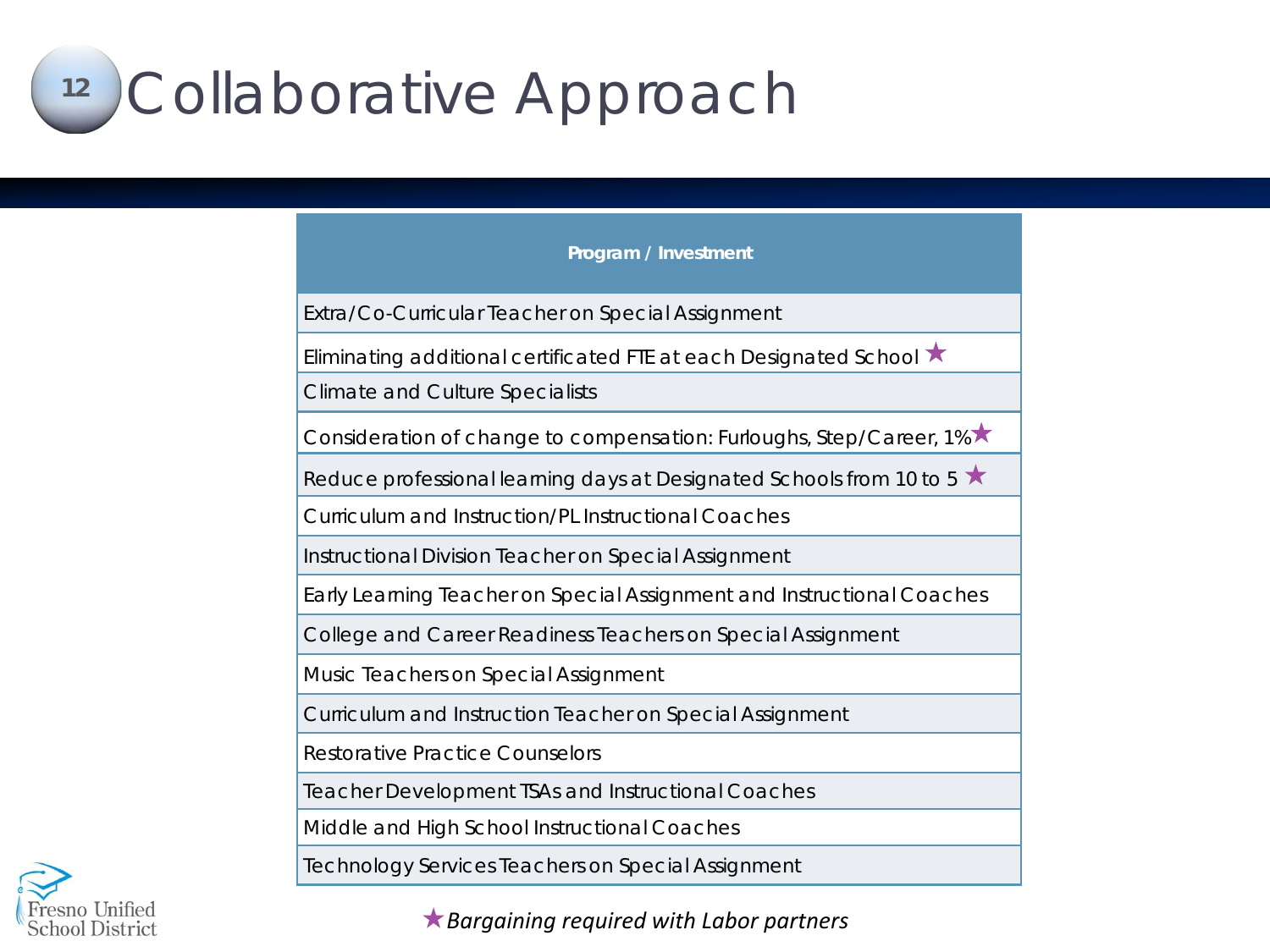### Collaborative Approach **12**

**Program / Investment**

Extra/Co-Curricular Teacher on Special Assignment

Eliminating additional certificated FTE at each Designated School  $\star$ 

Climate and Culture Specialists

Consideration of change to compensation: Furloughs, Step/Career, 1% ★

Reduce professional learning days at Designated Schools from 10 to 5  $\star$ 

Curriculum and Instruction/PL Instructional Coaches

Instructional Division Teacher on Special Assignment

Early Learning Teacher on Special Assignment and Instructional Coaches

College and Career Readiness Teachers on Special Assignment

Music Teachers on Special Assignment

Curriculum and Instruction Teacher on Special Assignment

Restorative Practice Counselors

Teacher Development TSAs and Instructional Coaches

Middle and High School Instructional Coaches

Technology Services Teachers on Special Assignment



*Bargaining required with Labor partners*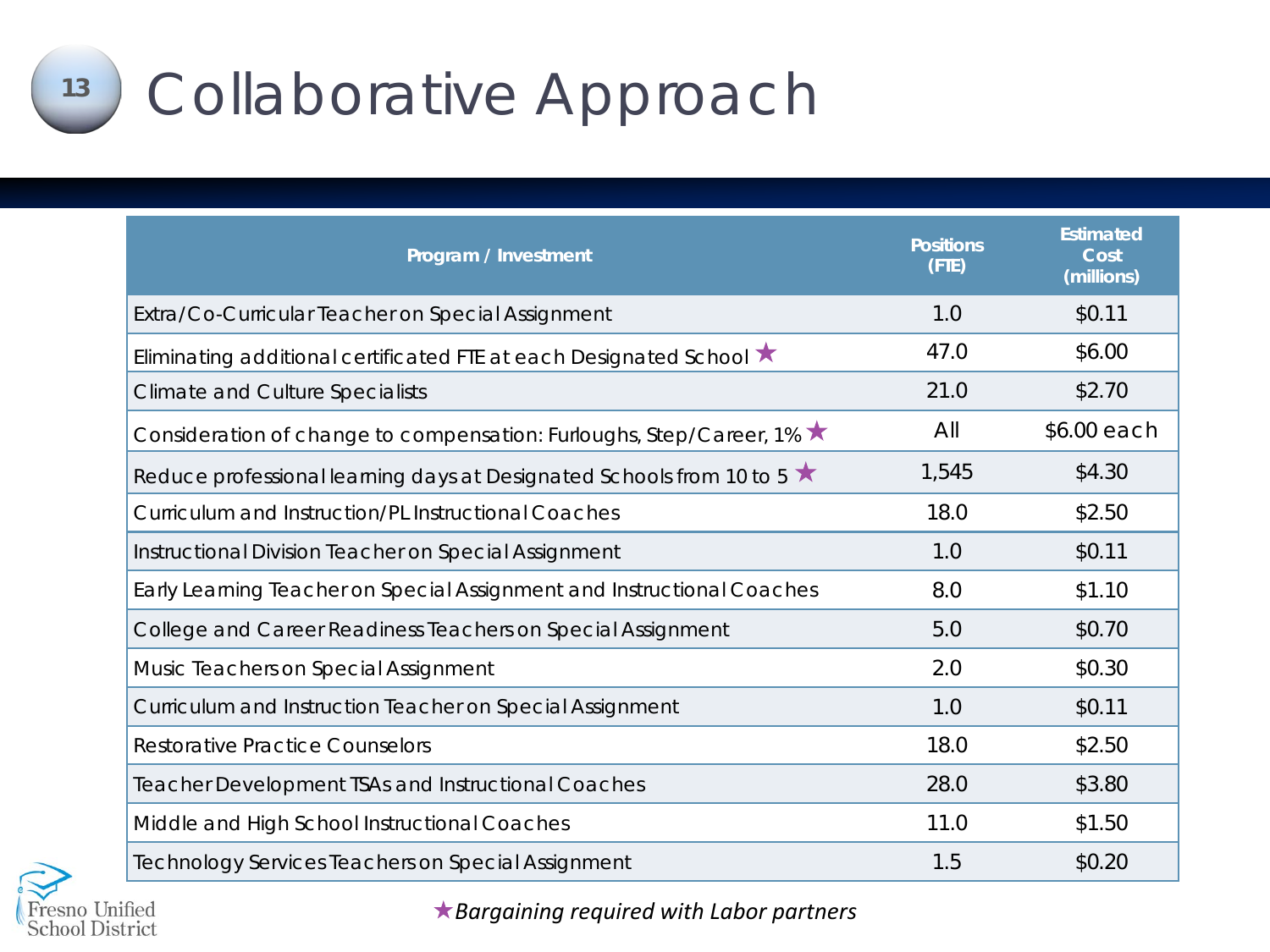# <sup>13</sup> Collaborative Approach

| Program / Investment                                                   | <b>Positions</b><br>(FTE) | <b>Estimated</b><br>Cost<br>(millions) |
|------------------------------------------------------------------------|---------------------------|----------------------------------------|
| Extra/Co-Curricular Teacher on Special Assignment                      | 1.0                       | \$0.11                                 |
| Eliminating additional certificated FTE at each Designated School ★    | 47.0                      | \$6.00                                 |
| <b>Climate and Culture Specialists</b>                                 | 21.0                      | \$2.70                                 |
| Consideration of change to compensation: Furloughs, Step/Career, 1% ★  | All                       | \$6.00 each                            |
| Reduce professional learning days at Designated Schools from 10 to 5 ★ | 1,545                     | \$4.30                                 |
| Curriculum and Instruction/PL Instructional Coaches                    | 18.0                      | \$2.50                                 |
| Instructional Division Teacher on Special Assignment                   | 1.0                       | \$0.11                                 |
| Early Learning Teacher on Special Assignment and Instructional Coaches | 8.0                       | \$1.10                                 |
| College and Career Readiness Teachers on Special Assignment            | 5.0                       | \$0.70                                 |
| Music Teachers on Special Assignment                                   | 2.0                       | \$0.30                                 |
| Curriculum and Instruction Teacher on Special Assignment               | 1.0                       | \$0.11                                 |
| <b>Restorative Practice Counselors</b>                                 | 18.0                      | \$2.50                                 |
| <b>Teacher Development TSAs and Instructional Coaches</b>              | 28.0                      | \$3.80                                 |
| Middle and High School Instructional Coaches                           | 11.0                      | \$1.50                                 |
| Technology Services Teachers on Special Assignment                     | 1.5                       | \$0.20                                 |



*Bargaining required with Labor partners*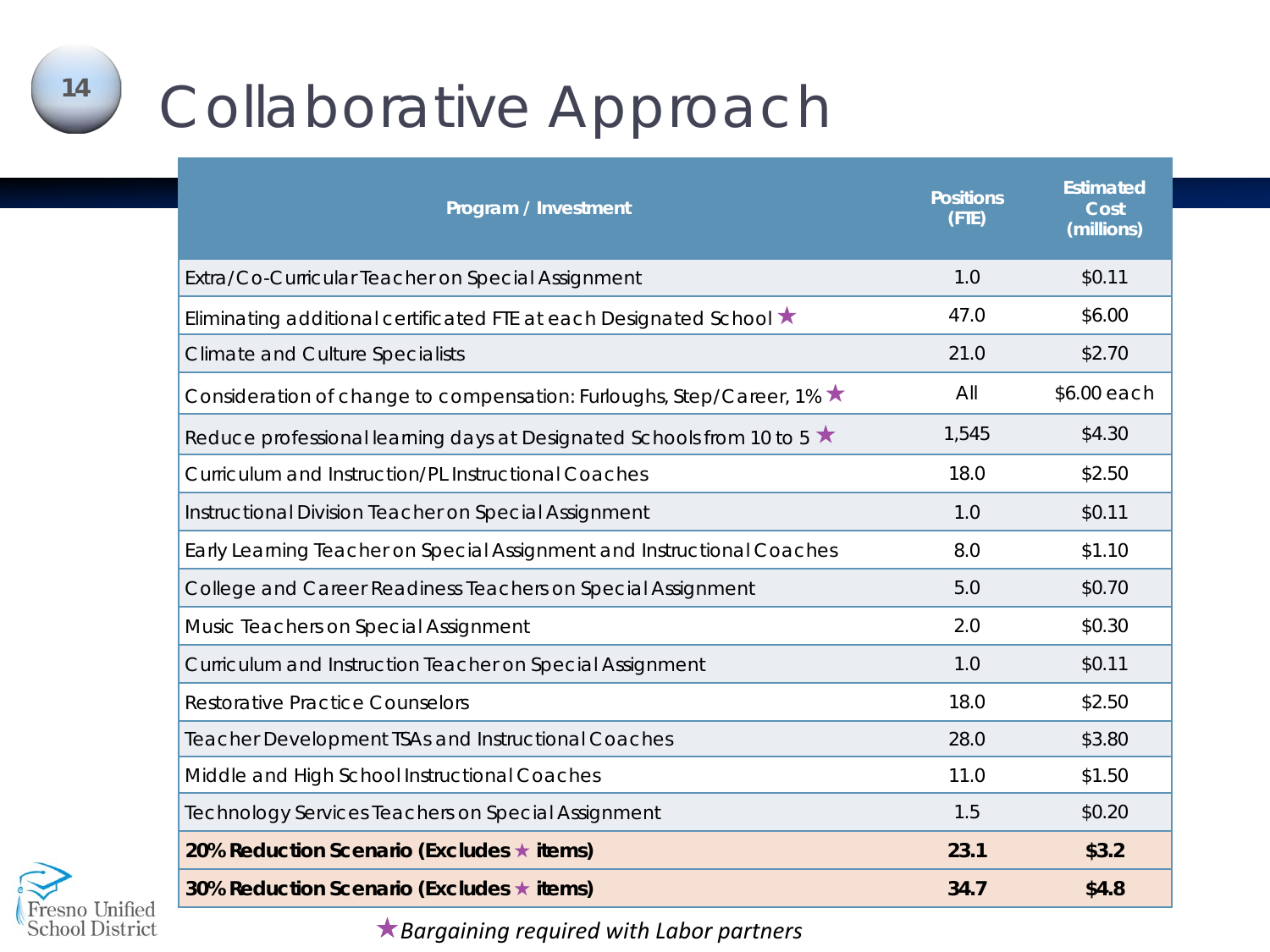# Collaborative Approach

| Program / Investment                                                         | <b>Positions</b><br>(FTE) | <b>Estimated</b><br>Cost<br>(millions) |
|------------------------------------------------------------------------------|---------------------------|----------------------------------------|
| Extra/Co-Curricular Teacher on Special Assignment                            | 1.0                       | \$0.11                                 |
| Eliminating additional certificated FTE at each Designated School ★          | 47.0                      | \$6.00                                 |
| <b>Climate and Culture Specialists</b>                                       | 21.0                      | \$2.70                                 |
| Consideration of change to compensation: Furloughs, Step/Career, 1% ★        | All                       | \$6.00 each                            |
| Reduce professional learning days at Designated Schools from 10 to 5 $\star$ | 1,545                     | \$4.30                                 |
| Curriculum and Instruction/PL Instructional Coaches                          | 18.0                      | \$2.50                                 |
| Instructional Division Teacher on Special Assignment                         | 1.0                       | \$0.11                                 |
| Early Learning Teacher on Special Assignment and Instructional Coaches       | 8.0                       | \$1.10                                 |
| College and Career Readiness Teachers on Special Assignment                  | 5.0                       | \$0.70                                 |
| Music Teachers on Special Assignment                                         | 2.0                       | \$0.30                                 |
| Curriculum and Instruction Teacher on Special Assignment                     | 1.0                       | \$0.11                                 |
| <b>Restorative Practice Counselors</b>                                       | 18.0                      | \$2.50                                 |
| <b>Teacher Development TSAs and Instructional Coaches</b>                    | 28.0                      | \$3.80                                 |
| Middle and High School Instructional Coaches                                 | 11.0                      | \$1.50                                 |
| Technology Services Teachers on Special Assignment                           | 1.5                       | \$0.20                                 |
| 20% Reduction Scenario (Excludes ★ items)                                    | 23.1                      | \$3.2                                  |
| 30% Reduction Scenario (Excludes ★ items)                                    | 34.7                      | \$4.8                                  |



*Bargaining required with Labor partners*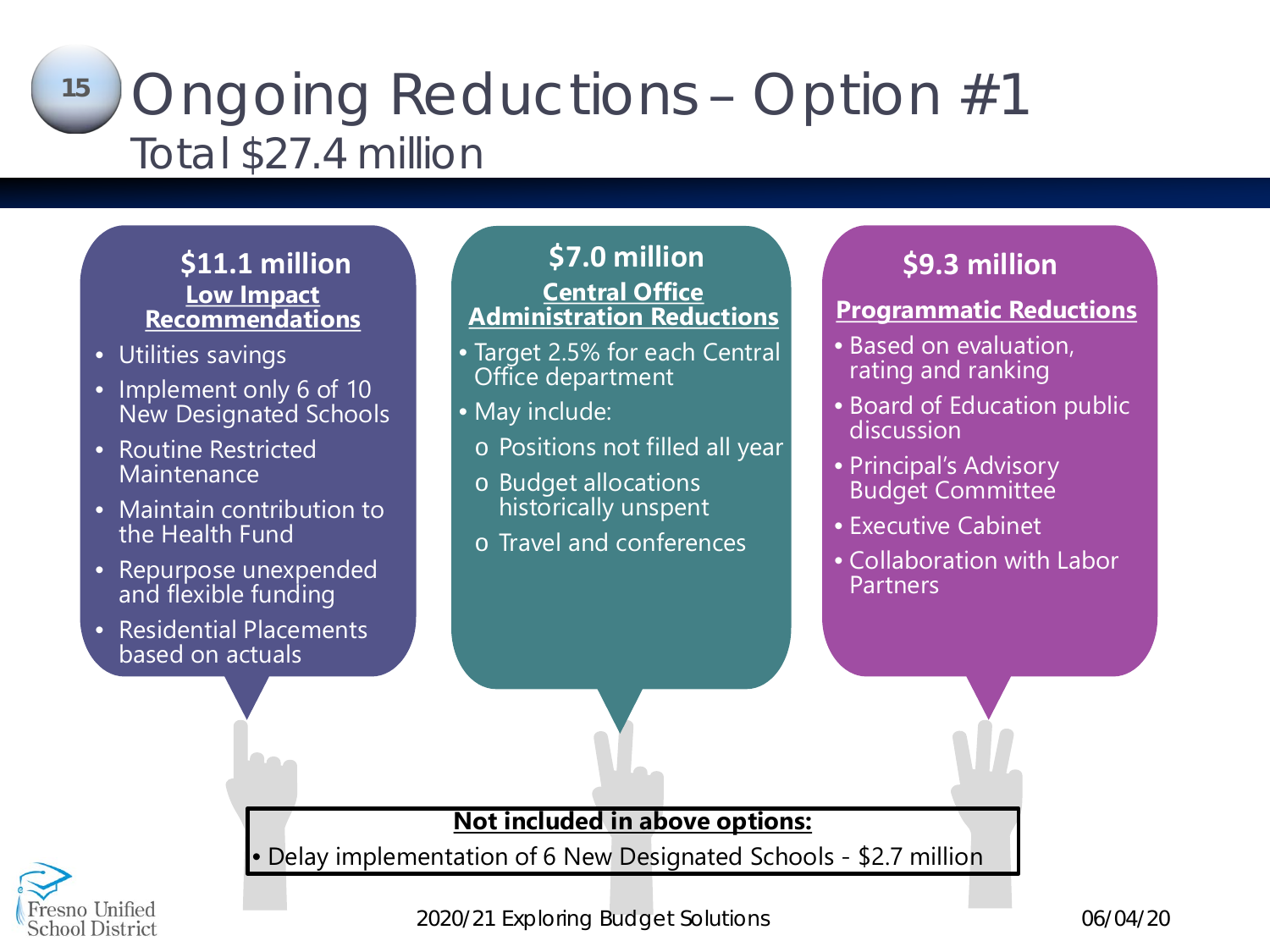## Ongoing Reductions – Option #1 Total \$27.4 million **15**

#### **\$11.1 million Low Impact Recommendations**

- Utilities savings
- Implement only 6 of 10 New Designated Schools
- Routine Restricted **Maintenance**
- Maintain contribution to the Health Fund
- Repurpose unexpended and flexible funding
- Residential Placements based on actuals

**An** 

### **\$7.0 million Central Office Administration Reductions**

- Target 2.5% for each Central Office department
- May include:
- o Positions not filled all year
- o Budget allocations historically unspent
- o Travel and conferences

## **\$9.1 million \$9.3 million**

#### **Programmatic Reductions**

- Based on evaluation, rating and ranking
- Board of Education public discussion
- Principal's Advisory Budget Committee
- Executive Cabinet
- Collaboration with Labor Partners

**Not included in above options:**

• Delay implementation of 6 New Designated Schools - \$2.7 million

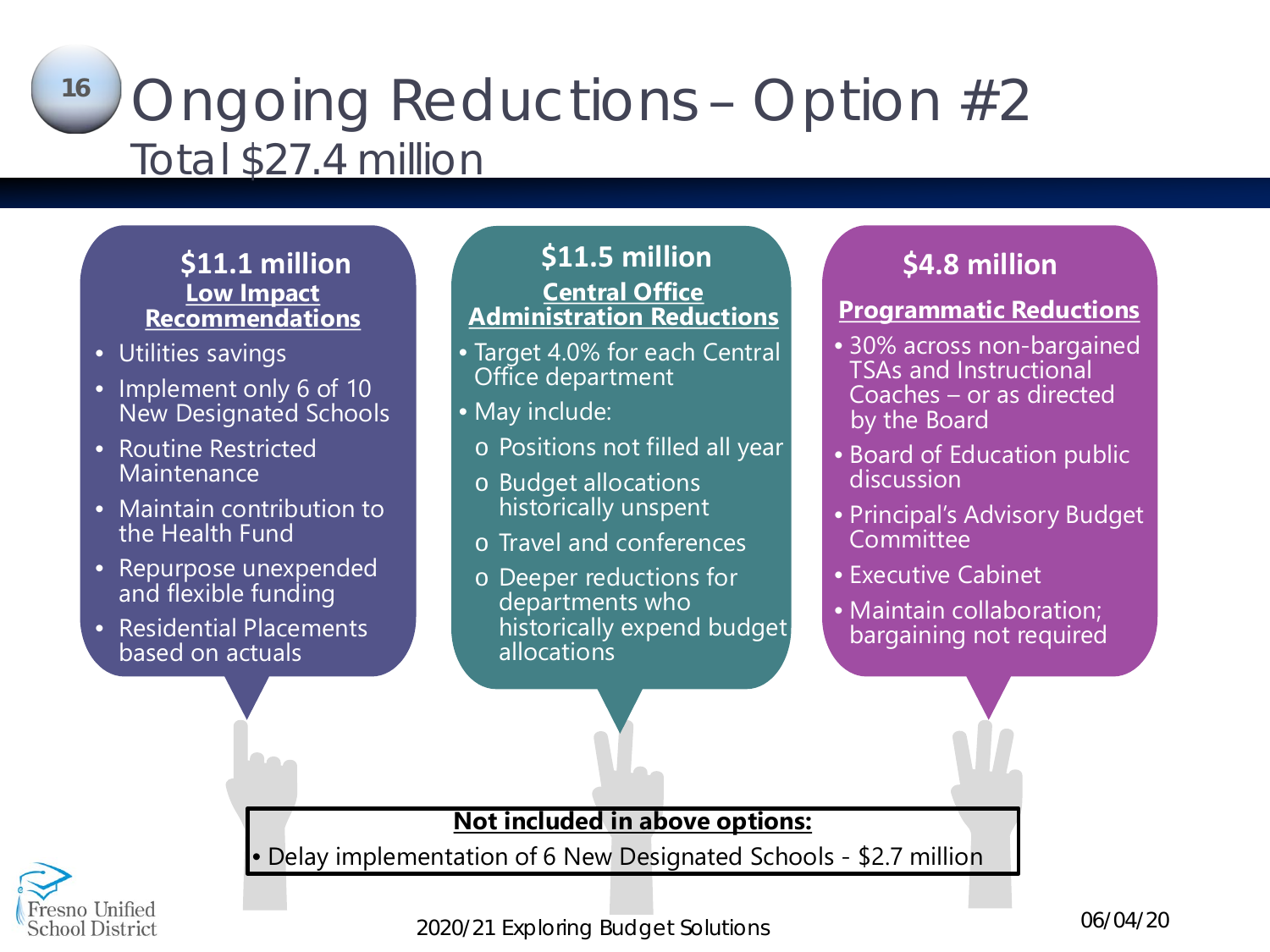## Ongoing Reductions – Option #2 Total \$27.4 million **16**

# **Low Impact Recommendations**

- Utilities savings
- Implement only 6 of 10 New Designated Schools
- Routine Restricted **Maintenance**
- Maintain contribution to the Health Fund
- Repurpose unexpended and flexible funding
- Residential Placements based on actuals

 $\bullet$ 

### **\$11.1 million \$11.5 million Central Office Administration Reductions**

- Target 4.0% for each Central Office department
- May include:
	- o Positions not filled all year
	- o Budget allocations historically unspent
	- o Travel and conferences
	- o Deeper reductions for departments who historically expend budget allocations

## **\$9.1 million \$4.8 million**

### **Programmatic Reductions**

- 30% across non-bargained TSAs and Instructional Coaches – or as directed by the Board
- Board of Education public discussion
- Principal's Advisory Budget **Committee**
- Executive Cabinet
- Maintain collaboration; bargaining not required

**Not included in above options:**

• Delay implementation of 6 New Designated Schools - \$2.7 million



*2020/21 Exploring Budget Solutions 06/04/20*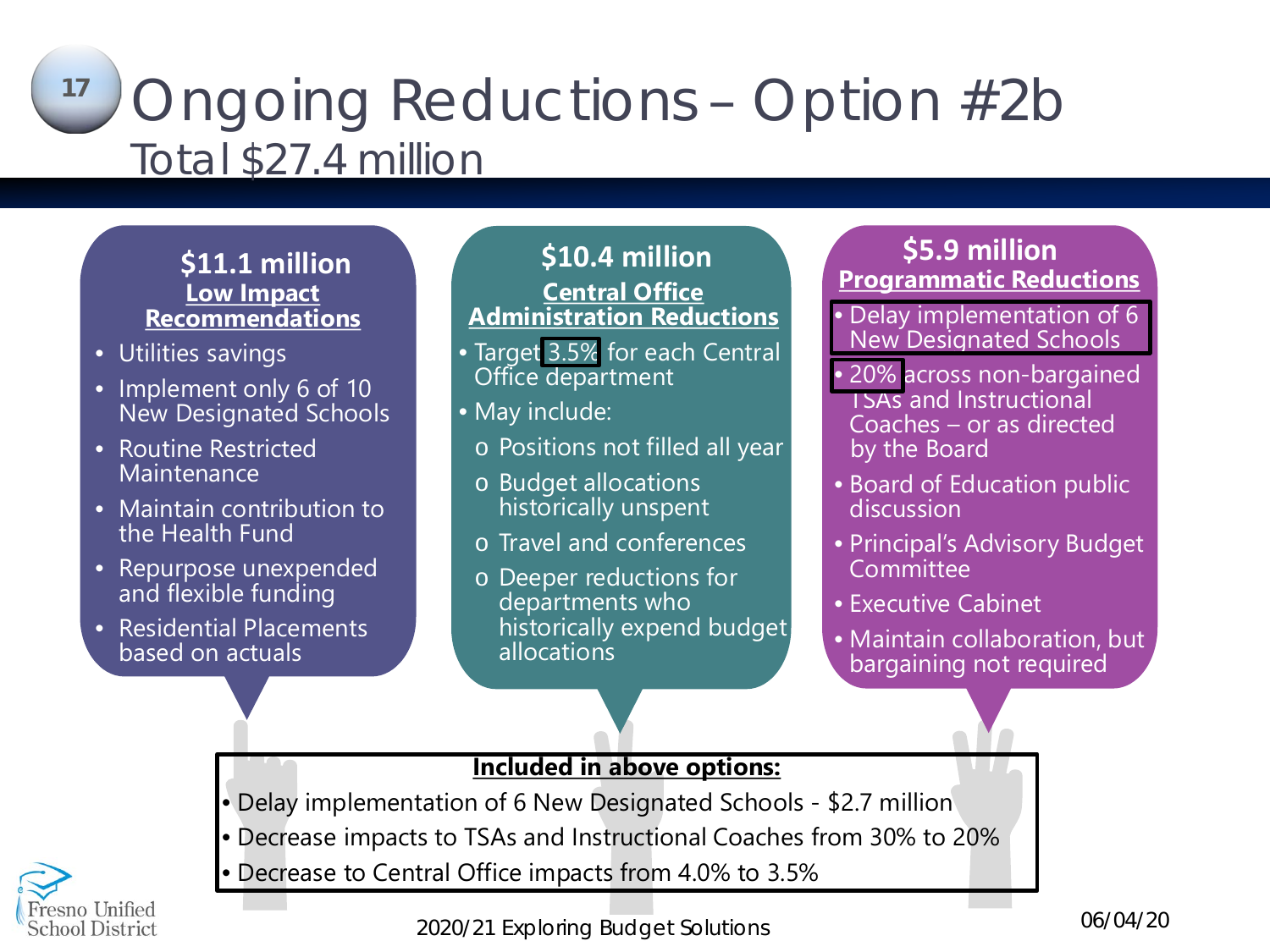## Ongoing Reductions – Option #2b Total \$27.4 million **17**

# **Low Impact Recommendations**

- Utilities savings
- Implement only 6 of 10 New Designated Schools
- Routine Restricted **Maintenance**
- Maintain contribution to the Health Fund
- Repurpose unexpended and flexible funding
- Residential Placements based on actuals

#### **\$11.1 million \$10.4 million Central Office Administration Reductions**

- Target 3.5% for each Central Office department
- May include:
	- o Positions not filled all year
	- o Budget allocations historically unspent
	- o Travel and conferences
	- o Deeper reductions for departments who historically expend budget allocations

### **\$9.1 million Programmatic Reductions \$5.9 million**

• Delay implementation of 6 New Designated Schools

- 20% across non-bargained TSAs and Instructional Coaches – or as directed by the Board
- Board of Education public discussion
- Principal's Advisory Budget **Committee**
- Executive Cabinet
- Maintain collaboration, but bargaining not required

#### **Included in above options:**

- Delay implementation of 6 New Designated Schools \$2.7 million
- Decrease impacts to TSAs and Instructional Coaches from 30% to 20%
- Decrease to Central Office impacts from 4.0% to 3.5%